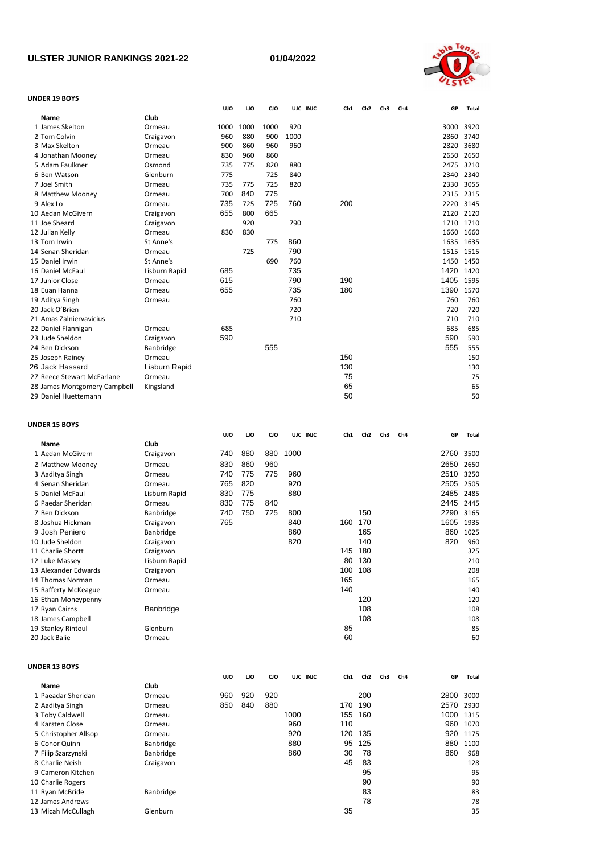## **ULSTER JUNIOR RANKINGS 2021-22**

**01/04/2022**



## **UNDER 19 BOYS**

|                              |               | <b>UJO</b> | IJО  | CJO        |      | UJC INJC | Ch1 | Ch <sub>2</sub> | Ch <sub>3</sub> | Ch4 | GP   | Total    |
|------------------------------|---------------|------------|------|------------|------|----------|-----|-----------------|-----------------|-----|------|----------|
| <b>Name</b>                  | Club          |            |      |            |      |          |     |                 |                 |     |      |          |
| 1 James Skelton              | Ormeau        | 1000       | 1000 | 1000       | 920  |          |     |                 |                 |     | 3000 | 3920     |
| 2 Tom Colvin                 | Craigavon     | 960        | 880  | 900        | 1000 |          |     |                 |                 |     | 2860 | 3740     |
| 3 Max Skelton                | Ormeau        | 900        | 860  | 960        | 960  |          |     |                 |                 |     | 2820 | 3680     |
| 4 Jonathan Mooney            | Ormeau        | 830        | 960  | 860        |      |          |     |                 |                 |     | 2650 | 2650     |
| 5 Adam Faulkner              | Osmond        | 735        | 775  | 820        | 880  |          |     |                 |                 |     | 2475 | 3210     |
| 6 Ben Watson                 | Glenburn      | 775        |      | 725        | 840  |          |     |                 |                 |     | 2340 | 2340     |
| 7 Joel Smith                 | Ormeau        | 735        | 775  | 725        | 820  |          |     |                 |                 |     | 2330 | 3055     |
| 8 Matthew Mooney             | Ormeau        | 700        | 840  | 775        |      |          |     |                 |                 |     | 2315 | 2315     |
| 9 Alex Lo                    | Ormeau        | 735        | 725  | 725        | 760  |          | 200 |                 |                 |     | 2220 | 3145     |
| 10 Aedan McGivern            | Craigavon     | 655        | 800  | 665        |      |          |     |                 |                 |     | 2120 | 2120     |
| 11 Joe Sheard                | Craigavon     |            | 920  |            | 790  |          |     |                 |                 |     | 1710 | 1710     |
| 12 Julian Kelly              | Ormeau        | 830        | 830  |            |      |          |     |                 |                 |     | 1660 | 1660     |
| 13 Tom Irwin                 | St Anne's     |            |      | 775        | 860  |          |     |                 |                 |     | 1635 | 1635     |
| 14 Senan Sheridan            | Ormeau        |            | 725  |            | 790  |          |     |                 |                 |     | 1515 | 1515     |
| 15 Daniel Irwin              | St Anne's     |            |      | 690        | 760  |          |     |                 |                 |     | 1450 | 1450     |
| 16 Daniel McFaul             | Lisburn Rapid | 685        |      |            | 735  |          |     |                 |                 |     | 1420 | 1420     |
| 17 Junior Close              | Ormeau        | 615        |      |            | 790  |          | 190 |                 |                 |     | 1405 | 1595     |
| 18 Euan Hanna                | Ormeau        | 655        |      |            | 735  |          | 180 |                 |                 |     | 1390 | 1570     |
| 19 Aditya Singh              | Ormeau        |            |      |            | 760  |          |     |                 |                 |     | 760  | 760      |
| 20 Jack O'Brien              |               |            |      |            | 720  |          |     |                 |                 |     | 720  | 720      |
| 21 Amas Zalniervavicius      |               |            |      |            | 710  |          |     |                 |                 |     | 710  | 710      |
| 22 Daniel Flannigan          | Ormeau        | 685        |      |            |      |          |     |                 |                 |     | 685  | 685      |
| 23 Jude Sheldon              | Craigavon     | 590        |      |            |      |          |     |                 |                 |     | 590  | 590      |
| 24 Ben Dickson               | Banbridge     |            |      | 555        |      |          |     |                 |                 |     | 555  | 555      |
| 25 Joseph Rainey             | Ormeau        |            |      |            |      |          | 150 |                 |                 |     |      | 150      |
| 26 Jack Hassard              | Lisburn Rapid |            |      |            |      |          | 130 |                 |                 |     |      | 130      |
| 27 Reece Stewart McFarlane   | Ormeau        |            |      |            |      |          | 75  |                 |                 |     |      | 75       |
| 28 James Montgomery Campbell | Kingsland     |            |      |            |      |          | 65  |                 |                 |     |      | 65       |
| 29 Daniel Huettemann         |               |            |      |            |      |          | 50  |                 |                 |     |      | 50       |
| <b>UNDER 15 BOYS</b>         |               |            |      |            |      |          |     |                 |                 |     |      |          |
|                              |               | UJO        | IJО  | <b>CJO</b> |      | UJC INJC | Ch1 | Ch <sub>2</sub> | Ch <sub>3</sub> | Ch4 | GP   | Total    |
| Name                         | Club          |            |      |            |      |          |     |                 |                 |     |      |          |
| 1 Aedan McGivern             | Craigavon     | 740        | 880  | 880        | 1000 |          |     |                 |                 |     | 2760 | 3500     |
| 2 Matthew Mooney             | Ormeau        | 830        | 860  | 960        |      |          |     |                 |                 |     | 2650 | 2650     |
| 3 Aaditya Singh              | Ormeau        | 740        | 775  | 775        | 960  |          |     |                 |                 |     | 2510 | 3250     |
| 4 Senan Sheridan             | Ormeau        | 765        | 820  |            | 920  |          |     |                 |                 |     | 2505 | 2505     |
| 5 Daniel McFaul              | Lisburn Rapid | 830        | 775  |            | 880  |          |     |                 |                 |     | 2485 | 2485     |
| 6 Paedar Sheridan            | Ormeau        | 830        | 775  | 840        |      |          |     |                 |                 |     | 2445 | 2445     |
| 7 Ben Dickson                | Banbridge     | 740        | 750  | 725        | 800  |          |     | 150             |                 |     | 2290 | 3165     |
| 8 Joshua Hickman             | Craigavon     | 765        |      |            | 840  |          | 160 | 170             |                 |     | 1605 | 1935     |
| 9 Josh Peniero               | Banbridge     |            |      |            | 860  |          |     | 165             |                 |     |      | 860 1025 |

| 6 Paedar Sheridan    | Ormeau        | 830 | 775 | 840 |     |     |     | 2445 | 2445 |
|----------------------|---------------|-----|-----|-----|-----|-----|-----|------|------|
| 7 Ben Dickson        | Banbridge     | 740 | 750 | 725 | 800 |     | 150 | 2290 | 3165 |
| 8 Joshua Hickman     | Craigavon     | 765 |     |     | 840 | 160 | 170 | 1605 | 1935 |
| 9 Josh Peniero       | Banbridge     |     |     |     | 860 |     | 165 | 860  | 1025 |
| 10 Jude Sheldon      | Craigavon     |     |     |     | 820 |     | 140 | 820  | 960  |
| 11 Charlie Shortt    | Craigavon     |     |     |     |     | 145 | 180 |      | 325  |
| 12 Luke Massey       | Lisburn Rapid |     |     |     |     | 80  | 130 |      | 210  |
| 13 Alexander Edwards | Craigavon     |     |     |     |     | 100 | 108 |      | 208  |
| 14 Thomas Norman     | Ormeau        |     |     |     |     | 165 |     |      | 165  |
| 15 Rafferty McKeague | Ormeau        |     |     |     |     | 140 |     |      | 140  |
| 16 Ethan Moneypenny  |               |     |     |     |     |     | 120 |      | 120  |
| 17 Ryan Cairns       | Banbridge     |     |     |     |     |     | 108 |      | 108  |
| 18 James Campbell    |               |     |     |     |     |     | 108 |      | 108  |
| 19 Stanley Rintoul   | Glenburn      |     |     |     |     | 85  |     |      | 85   |
| 20 Jack Balie        | Ormeau        |     |     |     |     | 60  |     |      | 60   |
|                      |               |     |     |     |     |     |     |      |      |

| <b>UNDER 13 BOYS</b> |  |
|----------------------|--|
|----------------------|--|

|                      |             | <b>UJO</b> | <b>LJO</b> | <b>CJO</b> | UJC INJC | Ch1 | Ch <sub>2</sub> | Ch3 | Ch4 | GP   | Total |
|----------------------|-------------|------------|------------|------------|----------|-----|-----------------|-----|-----|------|-------|
| <b>Name</b>          | <b>Club</b> |            |            |            |          |     |                 |     |     |      |       |
| 1 Paeadar Sheridan   | Ormeau      | 960        | 920        | 920        |          |     | 200             |     |     | 2800 | 3000  |
| 2 Aaditya Singh      | Ormeau      | 850        | 840        | 880        |          | 170 | 190             |     |     | 2570 | 2930  |
| 3 Toby Caldwell      | Ormeau      |            |            |            | 1000     | 155 | 160             |     |     | 1000 | 1315  |
| 4 Karsten Close      | Ormeau      |            |            |            | 960      | 110 |                 |     |     | 960  | 1070  |
| 5 Christopher Allsop | Ormeau      |            |            |            | 920      | 120 | 135             |     |     | 920  | 1175  |
| 6 Conor Quinn        | Banbridge   |            |            |            | 880      | 95  | 125             |     |     | 880  | 1100  |
| 7 Filip Szarzynski   | Banbridge   |            |            |            | 860      | 30  | 78              |     |     | 860  | 968   |
| 8 Charlie Neish      | Craigavon   |            |            |            |          | 45  | 83              |     |     |      | 128   |
| 9 Cameron Kitchen    |             |            |            |            |          |     | 95              |     |     |      | 95    |
| 10 Charlie Rogers    |             |            |            |            |          |     | 90              |     |     |      | 90    |
| 11 Ryan McBride      | Banbridge   |            |            |            |          |     | 83              |     |     |      | 83    |
| 12 James Andrews     |             |            |            |            |          |     | 78              |     |     |      | 78    |
| 13 Micah McCullagh   | Glenburn    |            |            |            |          | 35  |                 |     |     |      | 35    |